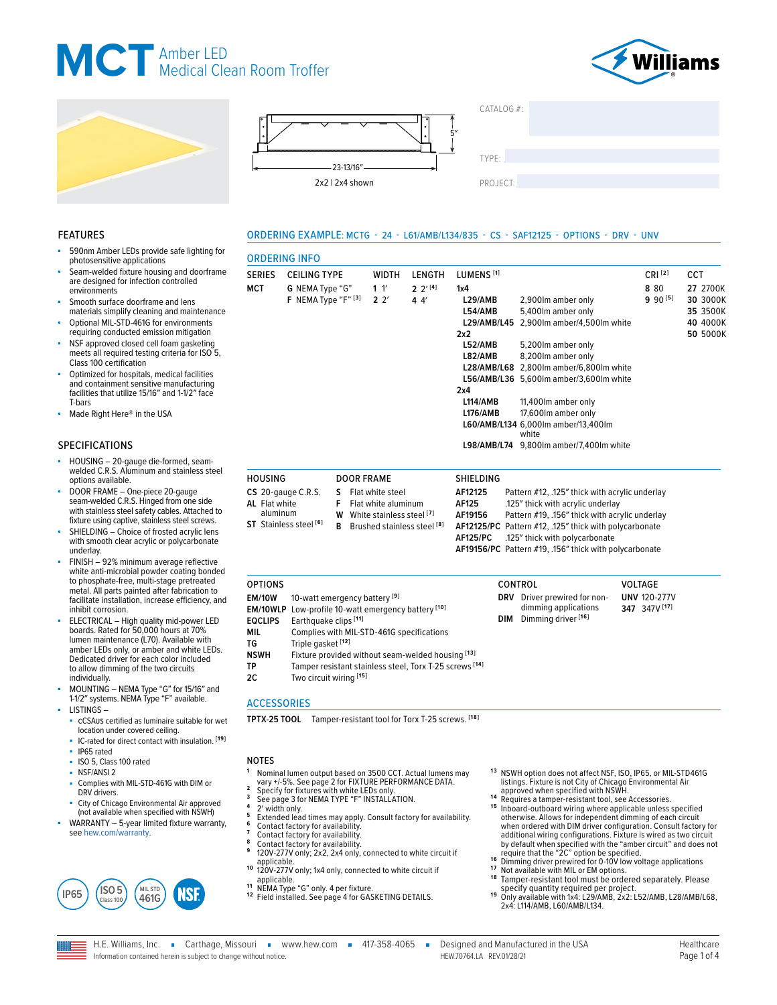



**8** 80 **9** 90 **[5]**

**UNV** 120-277V **347** 347V **[17]**

**27** 2700K **30** 3000K **35** 3500K **40** 4000K **50** 5000K





**1** 1′ **2** 2′

HOUSING DOOR FRAME SHIELDING

**S** Flat white steel<br>**F** Flat white alumi **F** Flat white aluminum **W** White stainless steel **[7] B** Brushed stainless steel **[8]**

ORDERING INFO

**CS** 20-gauge C.R.S. **AL** Flat white aluminum **ST** Stainless steel **[6]**

**MCT G** NEMA Type "G"

**F** NEMA Type "F" **[3]**

 $CATAI OG#$ 

| TYPE: |  |  |
|-------|--|--|
|       |  |  |

PROJECT:

2.900lm amber only

8,200lm amber only **L28/AMB/L68** 2,800lm amber/6,800lm white **L56/AMB/L36** 5,600lm amber/3,600lm white

17,600lm amber only **L60/AMB/L134** 6,000lm amber/13,400lm white **L98/AMB/L74** 9,800lm amber/7,400lm white

AF12125 Pattern #12, .125" thick with acrylic underlay<br>AF125 ... .125" thick with acrylic underlay **AF125** .125″ thick with acrylic underlay **AF19156** Pattern #19, .156″ thick with acrylic underlay **AF12125/PC** Pattern #12, .125″ thick with polycarbonate

**AF19156/PC** Pattern #19, .156″ thick with polycarbonate

**DRV** Driver prewired for nondimming applications **DIM** Dimming driver **[16]**

**L54/AMB** 5,400lm amber only **L29/AMB/L45** 2,900lm amber/4,500lm white

**L52/AMB** 5,200lm amber only<br>**L82/AMB** 8.200lm amber only

**L114/AMB** 11,400lm amber only<br>**L176/AMB** 17.600lm amber only

**AF125/PC** .125″ thick with polycarbonate

#### ORDERING EXAMPLE: MCTG - 24 - L61/AMB/L134/835 - CS - SAF12125 - OPTIONS - DRV - UNV

**2** 2′ **[4] 4** 4′

SERIES CEILING TYPE WIDTH LENGTH LUMENS **[1]** CRI **[2]** CCT

**1x4**

**2x2**

**2x4**

OPTIONS CONTROL VOLTAGE

#### FEATURES

- 590nm Amber LEDs provide safe lighting for photosensitive applications
- Seam-welded fixture housing and doorframe are designed for infection controlled environments
- Smooth surface doorframe and lens materials simplify cleaning and maintenance
- Optional MIL-STD-461G for environments requiring conducted emission mitigation
- NSF approved closed cell foam gasketing meets all required testing criteria for ISO 5, Class 100 certification
- Optimized for hospitals, medical facilities and containment sensitive manufacturing facilities that utilize 15/16″ and 1-1/2″ face T-bars
- Made Right Here® in the USA

#### SPECIFICATIONS

- HOUSING 20-gauge die-formed, seamwelded C.R.S. Aluminum and stainless steel options available.
- DOOR FRAME One-piece 20-gauge seam-welded C.R.S. Hinged from one side with stainless steel safety cables. Attached to fixture using captive, stainless steel screws.
- SHIELDING Choice of frosted acrylic lens with smooth clear acrylic or polycarbonate underlay.
- FINISH 92% minimum average reflective white anti-microbial powder coating bonded to phosphate-free, multi-stage pretreated metal. All parts painted after fabrication to facilitate installation, increase efficiency, and inhibit corrosion.
- ELECTRICAL High quality mid-power LED boards. Rated for 50,000 hours at 70% lumen maintenance (L70). Available with amber LEDs only, or amber and white LEDs. Dedicated driver for each color included to allow dimming of the two circuits individually.
- MOUNTING NEMA Type "G" for 15/16″ and 1-1/2″ systems. NEMA Type "F" available.
- LISTINGS cCSAus certified as luminaire suitable for wet
- location under covered ceiling. ■ IC-rated for direct contact with insulation. **[19]**
- IP65 rated
- ISO 5, Class 100 rated
- NSF/ANSI 2
- Complies with MIL-STD-461G with DIM or DRV drivers.
- City of Chicago Environmental Air approved (not available when specified with NSWH)
- WA[RRANTY 5-year lim](https://www.hew.com/resources/warranty-and-terms)ited fixture warranty, see [hew.com/warranty.](https://www.hew.com/resources/warranty-and-terms)



- **<sup>1</sup>** Nominal lumen output based on 3500 CCT. Actual lumens may
- 
- 

**EM/10W** 10-watt emergency battery **[9]**

**2C** Two circuit wiring **[15]**

**EQCLIPS** Earthquake clips **[11]**

**TG** Triple gasket <sup>[12]</sup><br>**NSWH** Fixture provided

ACCESSORIES

**EM/10WLP** Low-profile 10-watt emergency battery **[10]**

**MIL** Complies with MIL-STD-461G specifications<br>TG Triple gasket<sup>[12]</sup>

**NSWH** Fixture provided without seam-welded housing **[13] TP** Tamper resistant stainless steel, Torx T-25 screws <sup>[14]</sup><br>2C Two circuit wiring <sup>[15]</sup>

**TPTX-25 TOOL** Tamper-resistant tool for Torx T-25 screws. **[18]**

- 
- 
- 
- See pays Journal and Section and Section 2.<br>
2' width only.<br>
Extended lead times may apply. Consult factory for availability.<br>
Contact factory for availability.<br>
Contact factory for availability.<br>
Contact factory for avail
- 120V-277V only; 1x4 only, connected to white circuit if applicable.
- 
- 11 NEMA Type "G" only. 4 per fixture.<br><sup>12</sup> Field installed. [See page 4 for GASKETING DETAILS.](#page-3-0)
- **1 3** NSWH option does not affect NSF, ISO, IP65, or MIL-STD461G listings. Fixture is not City of Chicago Environmental Air
- 
- approved when specified with NSWH.<br>**14** Requires a tamper-resistant tool, see Accessories.<br>**15 Inboard-outboard wiring where applicable unless specified<br>otherwise. Allows for independent dimming of each circuit** when ordered with DIM driver configuration. Consult factory for additional wiring configurations. Fixture is wired as two circuit by default when specified with the "amber circuit" and does not require that the "2C" option be specified.<br>The Dimming driver prewired for 0-10V low voltage applications<br>17 Not available with MIL or EM options.<br>18 Tamper-r
- 
- 
- 
- specify quantity required per project.<br><sup>19</sup> Only available with 1x4: L29/AMB, 2x2: L52/AMB, L28/AMB/L68,<br>2x4: L114/AMB, L60/AMB/L134.

Information contained herein is subject to change without notice.

H.E. Williams, Inc. Garthage, Missouri = www.hew.com = 417-358-4065 = Designed and Manufactured in the USA HEW.70764.LA REV.01/28/21 Page 1 of 4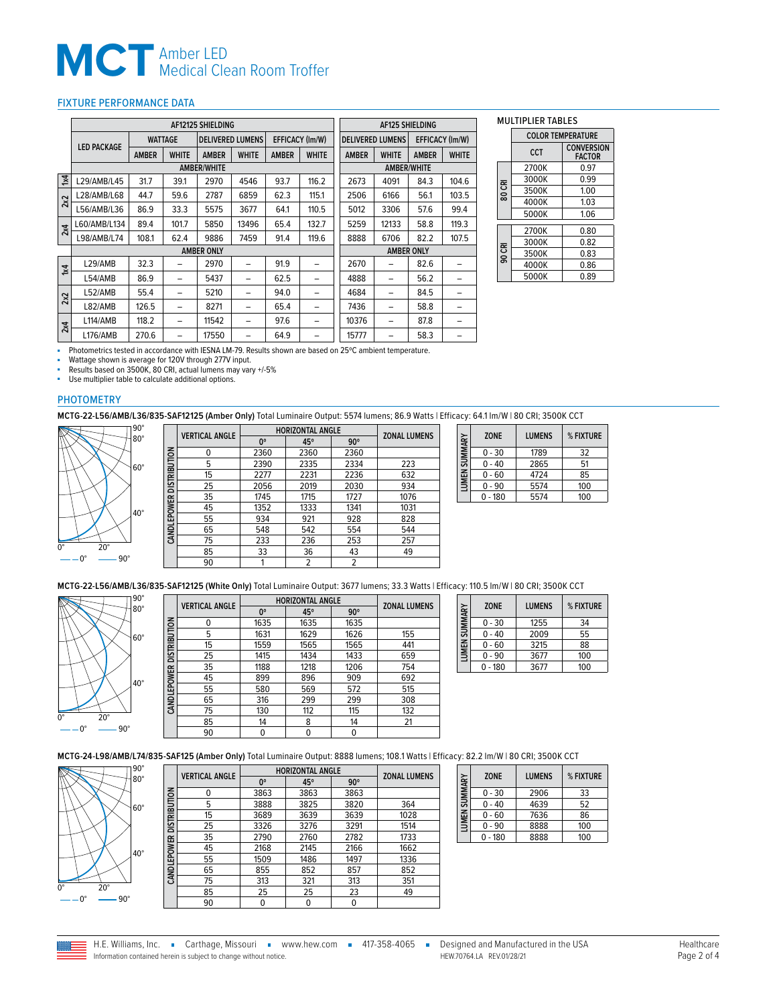## **MCT** Amber LED<br>
Medical Clean Room Troffer

#### <span id="page-1-0"></span>FIXTURE PERFORMANCE DATA

|                         | <b>AF12125 SHIELDING</b> |                |              |                         |              |              |                        | <b>AF125 SHIELDING</b> |                         |              |                        |
|-------------------------|--------------------------|----------------|--------------|-------------------------|--------------|--------------|------------------------|------------------------|-------------------------|--------------|------------------------|
|                         |                          | <b>WATTAGE</b> |              | <b>DELIVERED LUMENS</b> |              |              | <b>EFFICACY (Im/W)</b> |                        | <b>DELIVERED LUMENS</b> |              | <b>EFFICACY (Im/W)</b> |
|                         | <b>LED PACKAGE</b>       | <b>AMBER</b>   | <b>WHITE</b> | <b>AMBER</b>            | <b>WHITE</b> | <b>AMBER</b> | <b>WHITE</b>           | <b>AMBER</b>           | <b>WHITE</b>            | <b>AMBER</b> | <b>WHITE</b>           |
|                         |                          |                |              | <b>AMBER/WHITE</b>      |              |              |                        |                        | <b>AMBER/WHITE</b>      |              |                        |
| $\overline{\mathbf{x}}$ | L29/AMB/L45              | 31.7           | 39.1         | 2970                    | 4546         | 93.7         | 116.2                  | 2673                   | 4091                    | 84.3         | 104.6                  |
| 2x2                     | L28/AMB/L68              | 44.7           | 59.6         | 2787                    | 6859         | 62.3         | 115.1                  | 2506                   | 6166                    | 56.1         | 103.5                  |
|                         | L56/AMB/L36              | 86.9           | 33.3         | 5575                    | 3677         | 64.1         | 110.5                  | 5012                   | 3306                    | 57.6         | 99.4                   |
| 2x4                     | L60/AMB/L134             | 89.4           | 101.7        | 5850                    | 13496        | 65.4         | 132.7                  | 5259                   | 12133                   | 58.8         | 119.3                  |
|                         | L98/AMB/L74              | 108.1          | 62.4         | 9886                    | 7459         | 91.4         | 119.6                  | 8888                   | 6706                    | 82.2         | 107.5                  |
|                         |                          |                |              | <b>AMBER ONLY</b>       |              |              |                        |                        | <b>AMBER ONLY</b>       |              |                        |
| $\overline{\mathbf{z}}$ | L29/AMB                  | 32.3           |              | 2970                    |              | 91.9         |                        | 2670                   |                         | 82.6         |                        |
|                         | L54/AMB                  | 86.9           |              | 5437                    |              | 62.5         |                        | 4888                   | -                       | 56.2         |                        |
| 2x2                     | L52/AMB                  | 55.4           |              | 5210                    | -            | 94.0         | -                      | 4684                   | -                       | 84.5         |                        |
|                         | L82/AMB                  | 126.5          | -            | 8271                    | -            | 65.4         | -                      | 7436                   | -                       | 58.8         | -                      |
| 2x4                     | L114/AMB                 | 118.2          |              | 11542                   | -            | 97.6         | -                      | 10376                  | -                       | 87.8         |                        |
|                         | L176/AMB                 | 270.6          | -            | 17550                   | -            | 64.9         | -                      | 15777                  | -                       | 58.3         | -                      |

#### MULTIPLIER TABLES

|        | <b>COLOR TEMPERATURE</b> |                                    |  |  |  |
|--------|--------------------------|------------------------------------|--|--|--|
|        | <b>CCT</b>               | <b>CONVERSION</b><br><b>FACTOR</b> |  |  |  |
|        | 2700K                    | 0.97                               |  |  |  |
|        | 3000K                    | 0.99                               |  |  |  |
| 80 CRI | 3500K                    | 1.00                               |  |  |  |
|        | 4000K                    | 1.03                               |  |  |  |
|        | 5000K                    | 1.06                               |  |  |  |
|        |                          |                                    |  |  |  |
|        | 2700K                    | 0.80                               |  |  |  |
|        | 3000K                    | 0.82                               |  |  |  |
| 90 CRI | 3500K                    | 0.83                               |  |  |  |
|        | 4000K                    | 0.86                               |  |  |  |
|        | 5000K                    | 0.89                               |  |  |  |

Photometrics tested in accordance with IESNA LM-79. Results shown are based on 25°C ambient temperature.

■ Wattage shown is average for 120V through 277V input.<br>■ Results based on 3500K, 80 CRI, actual lumens may vary +/-5%

Use multiplier table to calculate additional options.

#### PHOTOMETRY

**MCTG-22-L56/AMB/L36/835-SAF12125 (Amber Only)** Total Luminaire Output: 5574 lumens; 86.9 Watts | Efficacy: 64.1 lm/W | 80 CRI; 3500K CCT



|                          | <b>VERTICAL ANGLE</b> | <b>HORIZONTAL ANGLE</b> |      |            | <b>ZONAL LUMENS</b> |
|--------------------------|-----------------------|-------------------------|------|------------|---------------------|
|                          |                       | 0°                      | 45°  | $90^\circ$ |                     |
|                          | 0                     | 2360                    | 2360 | 2360       |                     |
|                          | 5                     | 2390                    | 2335 | 2334       | 223                 |
|                          | 15                    | 2277                    | 2231 | 2236       | 632                 |
| CANDLEPOWER DISTRIBUTION | 25                    | 2056                    | 2019 | 2030       | 934                 |
|                          | 35                    | 1745                    | 1715 | 1727       | 1076                |
|                          | 45                    | 1352                    | 1333 | 1341       | 1031                |
|                          | 55                    | 934                     | 921  | 928        | 828                 |
|                          | 65                    | 548                     | 542  | 554        | 544                 |
|                          | 75                    | 233                     | 236  | 253        | 257                 |
|                          | 85                    | 33                      | 36   | 43         | 49                  |
|                          | 90                    |                         | 2    | 2          |                     |
|                          |                       |                         |      |            |                     |

| LUMEN SUMMARY | <b>ZONE</b> | <b>LUMENS</b> | % FIXTURE |
|---------------|-------------|---------------|-----------|
|               | $0 - 30$    | 1789          | 32        |
|               | $0 - 40$    | 2865          | 51        |
|               | $0 - 60$    | 4724          | 85        |
|               | $0 - 90$    | 5574          | 100       |
|               | - 180       | 5574          | 100       |

 $\overline{\phantom{a}}$ 

 $\overline{\phantom{0}}$ 

**MCTG-22-L56/AMB/L36/835-SAF12125 (White Only)** Total Luminaire Output: 3677 lumens; 33.3 Watts | Efficacy: 110.5 lm/W | 80 CRI; 3500K CCT



|                          | <b>VERTICAL ANGLE</b> | <b>HORIZONTAL ANGLE</b> | <b>ZONAL LUMENS</b> |            |     |
|--------------------------|-----------------------|-------------------------|---------------------|------------|-----|
|                          |                       | 0°                      | 45°                 | $90^\circ$ |     |
| CANDLEPOWER DISTRIBUTION | 0                     | 1635                    | 1635                | 1635       |     |
|                          | 5                     | 1631                    | 1629                | 1626       | 155 |
|                          | 15                    | 1559                    | 1565                | 1565       | 441 |
|                          | 25                    | 1415                    | 1434                | 1433       | 659 |
|                          | 35                    | 1188                    | 1218                | 1206       | 754 |
|                          | 45                    | 899                     | 896                 | 909        | 692 |
|                          | 55                    | 580                     | 569                 | 572        | 515 |
|                          | 65                    | 316                     | 299                 | 299        | 308 |
|                          | 75                    | 130                     | 112                 | 115        | 132 |
|                          | 85                    | 14                      | 8                   | 14         | 21  |
|                          | 90                    | 0                       | 0                   | 0          |     |
|                          |                       |                         |                     |            |     |

| LUMEN SUMMARY | <b>ZONE</b> | <b>LUMENS</b> | % FIXTURE |
|---------------|-------------|---------------|-----------|
|               | $0 - 30$    | 1255          | 34        |
|               | $0 - 40$    | 2009          | 55        |
|               | $0 - 60$    | 3215          | 88        |
|               | $0 - 90$    | 3677          | 100       |
|               | $0 - 180$   | 3677          | 100       |

**MCTG-24-L98/AMB/L74/835-SAF125 (Amber Only)** Total Luminaire Output: 8888 lumens; 108.1 Watts | Efficacy: 82.2 lm/W | 80 CRI; 3500K CCT



|                           | <b>VERTICAL ANGLE</b> | <b>HORIZONTAL ANGLE</b> | <b>ZONAL LUMENS</b> |            |      |
|---------------------------|-----------------------|-------------------------|---------------------|------------|------|
|                           |                       | 0°                      | 45°                 | $90^\circ$ |      |
|                           | 0                     | 3863                    | 3863                | 3863       |      |
| CAND LEPOWER DISTRIBUTION | 5                     | 3888                    | 3825                | 3820       | 364  |
|                           | 15                    | 3689                    | 3639                | 3639       | 1028 |
|                           | 25                    | 3326                    | 3276                | 3291       | 1514 |
|                           | 35                    | 2790                    | 2760                | 2782       | 1733 |
|                           | 45                    | 2168                    | 2145                | 2166       | 1662 |
|                           | 55                    | 1509                    | 1486                | 1497       | 1336 |
|                           | 65                    | 855                     | 852                 | 857        | 852  |
|                           | 75                    | 313                     | 321                 | 313        | 351  |
|                           | 85                    | 25                      | 25                  | 23         | 49   |
|                           | 90                    | 0                       | 0                   | 0          |      |

| LUMEN SUMMARY | <b>ZONE</b> | <b>LUMENS</b> | % FIXTURE |
|---------------|-------------|---------------|-----------|
|               | $0 - 30$    | 2906          | 33        |
|               | $0 - 40$    | 4639          | 52        |
|               | $0 - 60$    | 7636          | 86        |
|               | 0 - 90      | 8888          | 100       |
|               | $-180$      | 8888          | 100       |

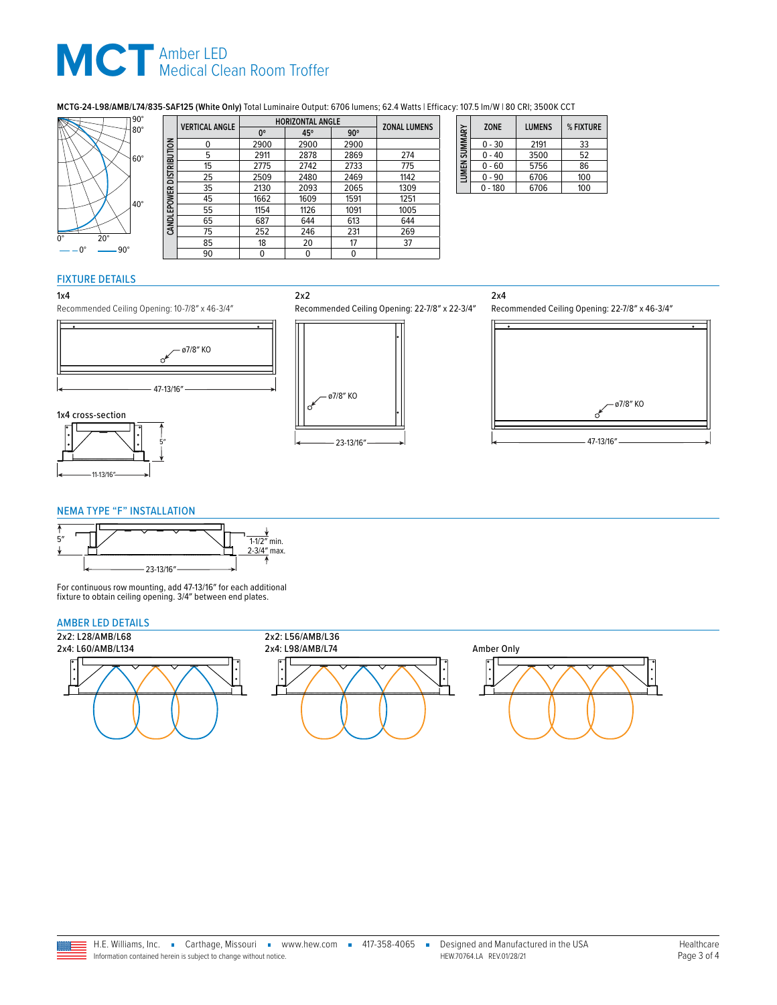## **MCT** Amber LED<br>
Medical Clean Room Troffer

### **MCTG-24-L98/AMB/L74/835-SAF125 (White Only)** Total Luminaire Output: 6706 lumens; 62.4 Watts | Efficacy: 107.5 lm/W | 80 CRI; 3500K CCT<br> **ADBIZONTAL ANGLE**



|                           | <b>VERTICAL ANGLE</b> |      | <b>HORIZONTAL ANGLE</b> |            | <b>ZONAL LUMENS</b> |
|---------------------------|-----------------------|------|-------------------------|------------|---------------------|
|                           |                       | 0°   | 45°                     | $90^\circ$ |                     |
|                           | 0                     | 2900 | 2900                    | 2900       |                     |
|                           | 5                     | 2911 | 2878                    | 2869       | 274                 |
| CAND LEPOWER DISTRIBUTION | 15                    | 2775 | 2742                    | 2733       | 775                 |
|                           | 25                    | 2509 | 2480                    | 2469       | 1142                |
|                           | 35                    | 2130 | 2093                    | 2065       | 1309                |
|                           | 45                    | 1662 | 1609                    | 1591       | 1251                |
|                           | 55                    | 1154 | 1126                    | 1091       | 1005                |
|                           | 65                    | 687  | 644                     | 613        | 644                 |
|                           | 75                    | 252  | 246                     | 231        | 269                 |
|                           | 85                    | 18   | 20                      | 17         | 37                  |
|                           | 90                    | 0    |                         | 0          |                     |

2x2

| LUMEN SUMMARY | <b>ZONE</b> | <b>LUMENS</b> | % FIXTURE |
|---------------|-------------|---------------|-----------|
|               | $0 - 30$    | 2191          | 33        |
|               | $0 - 40$    | 3500          | 52        |
|               | $0 - 60$    | 5756          | 86        |
|               | $0 - 90$    | 6706          | 100       |
|               | - 180       | 6706          | 100       |

#### FIXTURE DETAILS

#### 1x4







Recommended Ceiling Opening: 10-7/8″ x 46-3/4″







#### <span id="page-2-0"></span>NEMA TYPE "F" INSTALLATION



For continuous row mounting, add 47-13/16″ for each additional fixture to obtain ceiling opening. 3/4″ between end plates.

#### AMBER LED DETAILS